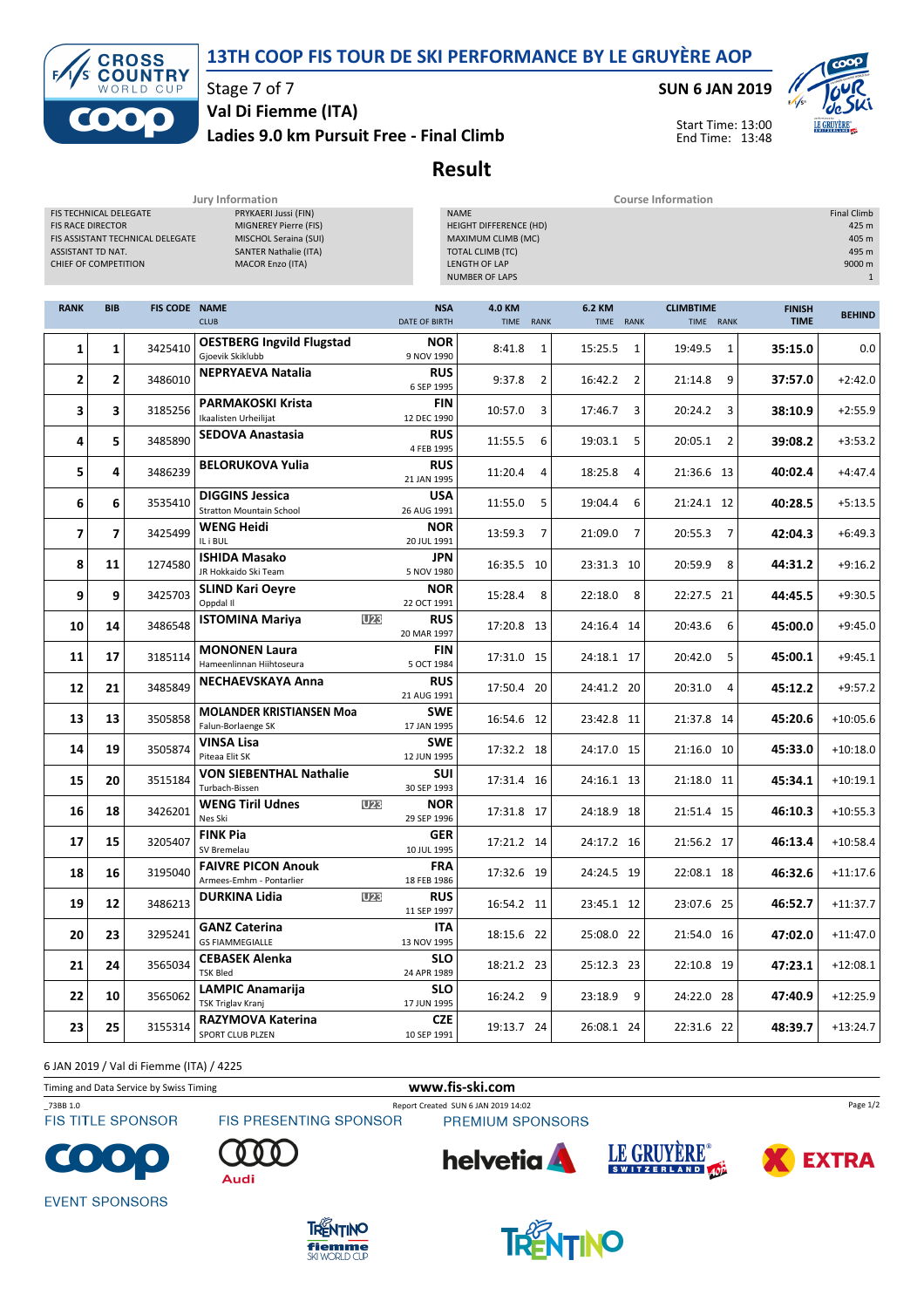### 13TH COOP FIS TOUR DE SKI PERFORMANCE BY LE GRUYÈRE AOP



Stage 7 of 7

Ladies 9.0 km Pursuit Free - Final Climb Val Di Fiemme (ITA)

SUN 6 JAN 2019



Start Time: 13:00 End Time: 13:48

Result

| Jury Information<br><b>Course Information</b>                                                                                                                                                                                                                            |                |                      |                                                           |                                    |                                                                                                                                                        |                |                           |                               |                              |               |
|--------------------------------------------------------------------------------------------------------------------------------------------------------------------------------------------------------------------------------------------------------------------------|----------------|----------------------|-----------------------------------------------------------|------------------------------------|--------------------------------------------------------------------------------------------------------------------------------------------------------|----------------|---------------------------|-------------------------------|------------------------------|---------------|
| FIS TECHNICAL DELEGATE<br>PRYKAERI Jussi (FIN)<br><b>FIS RACE DIRECTOR</b><br>MIGNEREY Pierre (FIS)<br>FIS ASSISTANT TECHNICAL DELEGATE<br>MISCHOL Seraina (SUI)<br>ASSISTANT TD NAT.<br><b>SANTER Nathalie (ITA)</b><br>CHIEF OF COMPETITION<br><b>MACOR Enzo (ITA)</b> |                |                      |                                                           |                                    | <b>NAME</b><br><b>Final Climb</b><br>HEIGHT DIFFERENCE (HD)<br>MAXIMUM CLIMB (MC)<br><b>TOTAL CLIMB (TC)</b><br>LENGTH OF LAP<br><b>NUMBER OF LAPS</b> |                |                           |                               |                              |               |
| <b>RANK</b>                                                                                                                                                                                                                                                              | <b>BIB</b>     | <b>FIS CODE NAME</b> | <b>CLUB</b>                                               | <b>NSA</b><br><b>DATE OF BIRTH</b> | 4.0 KM<br><b>TIME</b>                                                                                                                                  | <b>RANK</b>    | 6.2 KM<br>TIME RANK       | <b>CLIMBTIME</b><br>TIME RANK | <b>FINISH</b><br><b>TIME</b> | <b>BEHIND</b> |
| 1                                                                                                                                                                                                                                                                        | 1              | 3425410              | <b>OESTBERG Ingvild Flugstad</b><br>Gjoevik Skiklubb      | <b>NOR</b><br>9 NOV 1990           | 8:41.8                                                                                                                                                 | $\mathbf{1}$   | 15:25.5<br>1              | 19:49.5<br>1                  | 35:15.0                      | 0.0           |
| 2                                                                                                                                                                                                                                                                        | 2              | 3486010              | <b>NEPRYAEVA Natalia</b>                                  | <b>RUS</b><br>6 SEP 1995           | 9:37.8                                                                                                                                                 | $\overline{2}$ | 16:42.2<br>$\overline{2}$ | 9<br>21:14.8                  | 37:57.0                      | $+2:42.0$     |
| 3                                                                                                                                                                                                                                                                        | 3              | 3185256              | <b>PARMAKOSKI Krista</b><br>Ikaalisten Urheilijat         | <b>FIN</b><br>12 DEC 1990          | 10:57.0                                                                                                                                                | 3              | 17:46.7<br>3              | 20:24.2<br>3                  | 38:10.9                      | $+2:55.9$     |
| 4                                                                                                                                                                                                                                                                        | 5              | 3485890              | <b>SEDOVA Anastasia</b>                                   | <b>RUS</b><br>4 FEB 1995           | 11:55.5                                                                                                                                                | 6              | 19:03.1<br>5              | 20:05.1<br>$\overline{2}$     | 39:08.2                      | $+3:53.2$     |
| 5                                                                                                                                                                                                                                                                        | 4              | 3486239              | <b>BELORUKOVA Yulia</b>                                   | <b>RUS</b><br>21 JAN 1995          | 11:20.4                                                                                                                                                | 4              | 18:25.8<br>4              | 21:36.6 13                    | 40:02.4                      | $+4:47.4$     |
| 6                                                                                                                                                                                                                                                                        | 6              | 3535410              | <b>DIGGINS Jessica</b><br><b>Stratton Mountain School</b> | <b>USA</b><br>26 AUG 1991          | 11:55.0                                                                                                                                                | 5              | 19:04.4<br>6              | 21:24.1 12                    | 40:28.5                      | $+5:13.5$     |
| 7                                                                                                                                                                                                                                                                        | $\overline{7}$ | 3425499              | <b>WENG Heidi</b><br>IL i BUL                             | <b>NOR</b><br>20 JUL 1991          | 13:59.3                                                                                                                                                | 7              | $\overline{7}$<br>21:09.0 | 20:55.3<br>7                  | 42:04.3                      | $+6:49.3$     |
| 8                                                                                                                                                                                                                                                                        | 11             | 1274580              | <b>ISHIDA Masako</b><br>JR Hokkaido Ski Team              | <b>JPN</b><br>5 NOV 1980           | 16:35.5 10                                                                                                                                             |                | 23:31.3 10                | 20:59.9<br>8                  | 44:31.2                      | $+9:16.2$     |
| 9                                                                                                                                                                                                                                                                        | 9              | 3425703              | <b>SLIND Kari Oeyre</b><br>Oppdal II                      | <b>NOR</b><br>22 OCT 1991          | 15:28.4                                                                                                                                                | 8              | 22:18.0<br>8              | 22:27.5 21                    | 44:45.5                      | $+9:30.5$     |
| 10                                                                                                                                                                                                                                                                       | 14             | 3486548              | <b>ISTOMINA Mariya</b><br><b>U23</b>                      | <b>RUS</b><br>20 MAR 1997          | 17:20.8 13                                                                                                                                             |                | 24:16.4 14                | 20:43.6<br>6                  | 45:00.0                      | $+9:45.0$     |
| 11                                                                                                                                                                                                                                                                       | 17             | 3185114              | <b>MONONEN Laura</b><br>Hameenlinnan Hiihtoseura          | <b>FIN</b><br>5 OCT 1984           | 17:31.0 15                                                                                                                                             |                | 24:18.1 17                | 5<br>20:42.0                  | 45:00.1                      | $+9:45.1$     |
| 12                                                                                                                                                                                                                                                                       | 21             | 3485849              | <b>NECHAEVSKAYA Anna</b>                                  | <b>RUS</b><br>21 AUG 1991          | 17:50.4 20                                                                                                                                             |                | 24:41.2 20                | 20:31.0<br>4                  | 45:12.2                      | $+9:57.2$     |
| 13                                                                                                                                                                                                                                                                       | 13             | 3505858              | <b>MOLANDER KRISTIANSEN Moa</b><br>Falun-Borlaenge SK     | <b>SWE</b><br>17 JAN 1995          | 16:54.6 12                                                                                                                                             |                | 23:42.8 11                | 21:37.8 14                    | 45:20.6                      | $+10:05.6$    |
| 14                                                                                                                                                                                                                                                                       | 19             | 3505874              | VINSA Lisa<br>Piteaa Elit SK                              | <b>SWE</b><br>12 JUN 1995          | 17:32.2 18                                                                                                                                             |                | 24:17.0 15                | 21:16.0 10                    | 45:33.0                      | $+10:18.0$    |
| 15                                                                                                                                                                                                                                                                       | 20             | 3515184              | <b>VON SIEBENTHAL Nathalie</b><br>Turbach-Bissen          | <b>SUI</b><br>30 SEP 1993          | 17:31.4 16                                                                                                                                             |                | 24:16.1 13                | 21:18.0 11                    | 45:34.1                      | $+10:19.1$    |
| 16                                                                                                                                                                                                                                                                       | 18             | 3426201              | <b>WENG Tiril Udnes</b><br><b>U23</b><br>Nes Ski          | <b>NOR</b><br>29 SEP 1996          | 17:31.8 17                                                                                                                                             |                | 24:18.9 18                | 21:51.4 15                    | 46:10.3                      | $+10:55.3$    |
| 17                                                                                                                                                                                                                                                                       | 15             | 3205407              | <b>FINK Pia</b><br>SV Bremelau                            | <b>GER</b><br>10 JUL 1995          | 17:21.2 14                                                                                                                                             |                | 24:17.2 16                | 21:56.2 17                    | 46:13.4                      | $+10:58.4$    |
| 18                                                                                                                                                                                                                                                                       | 16             | 3195040              | <b>FAIVRE PICON Anouk</b><br>Armees-Emhm - Pontarlier     | <b>FRA</b><br>18 FEB 1986          | 17:32.6 19                                                                                                                                             |                | 24:24.5 19                | 22:08.1 18                    | 46:32.6                      | $+11:17.6$    |
| 19                                                                                                                                                                                                                                                                       | 12             | 3486213              | <b>DURKINA Lidia</b><br><b>U23</b>                        | <b>RUS</b><br>11 SEP 1997          | 16:54.2 11                                                                                                                                             |                | 23:45.1 12                | 23:07.6 25                    | 46:52.7                      | $+11:37.7$    |
| 20                                                                                                                                                                                                                                                                       | 23             | 3295241              | <b>GANZ Caterina</b><br><b>GS FIAMMEGIALLE</b>            | ITA<br>13 NOV 1995                 | 18:15.6 22                                                                                                                                             |                | 25:08.0 22                | 21:54.0 16                    | 47:02.0                      | $+11:47.0$    |
| 21                                                                                                                                                                                                                                                                       | 24             | 3565034              | <b>CEBASEK Alenka</b><br><b>TSK Bled</b>                  | <b>SLO</b><br>24 APR 1989          | 18:21.2 23                                                                                                                                             |                | 25:12.3 23                | 22:10.8 19                    | 47:23.1                      | $+12:08.1$    |
| 22                                                                                                                                                                                                                                                                       | 10             | 3565062              | <b>LAMPIC Anamarija</b><br><b>TSK Triglav Kranj</b>       | <b>SLO</b><br>17 JUN 1995          | 16:24.2                                                                                                                                                | 9              | 23:18.9 9                 | 24:22.0 28                    | 47:40.9                      | $+12:25.9$    |
| 23                                                                                                                                                                                                                                                                       | 25             | 3155314              | RAZYMOVA Katerina<br>SPORT CLUB PLZEN                     | <b>CZE</b><br>10 SEP 1991          | 19:13.7 24                                                                                                                                             |                | 26:08.1 24                | 22:31.6 22                    | 48:39.7                      | $+13:24.7$    |

6 JAN 2019 / Val di Fiemme (ITA) / 4225

Timing and Data Service by Swiss Timing WWW.fis-ski.com

**helvetia** 

**FIS TITLE SPONSOR** 

\_73BB 1.0 Report Created SUN 6 JAN 2019 14:02 PREMIUM SPONSORS



**EVENT SPONSORS** 





LE GRUYÈRE®



**EXTRA** 

Page 1/2